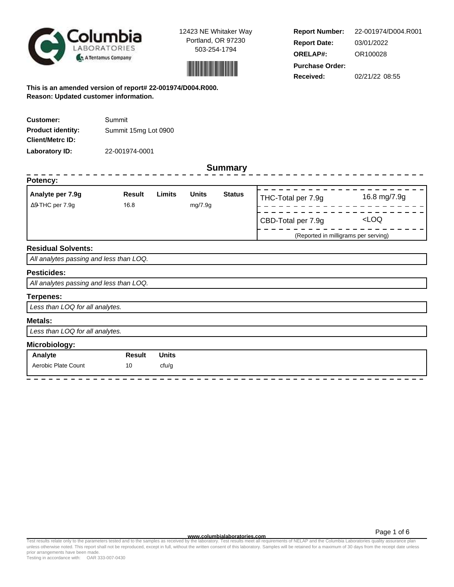



**Report Number: Report Date: ORELAP#:** 03/01/2022 OR100028 **Received:** 02/21/22 08:55 **Purchase Order:** 22-001974/D004.R001

**This is an amended version of report# 22-001974/D004.R000. Reason: Updated customer information.**

| <b>Customer:</b>         | Summit               |
|--------------------------|----------------------|
| <b>Product identity:</b> | Summit 15mg Lot 0900 |
| <b>Client/Metrc ID:</b>  |                      |
| Laboratory ID:           | 22-001974-0001       |

### **Summary**

| <b>Summary</b>                          |                |              |                         |               |                                      |              |  |  |  |  |
|-----------------------------------------|----------------|--------------|-------------------------|---------------|--------------------------------------|--------------|--|--|--|--|
| Potency:                                |                |              |                         |               |                                      |              |  |  |  |  |
| Analyte per 7.9g<br>Δ9-THC per 7.9g     | Result<br>16.8 | Limits       | <b>Units</b><br>mg/7.9g | <b>Status</b> | THC-Total per 7.9g                   | 16.8 mg/7.9g |  |  |  |  |
|                                         |                |              |                         |               | CBD-Total per 7.9g                   | $<$ LOQ      |  |  |  |  |
|                                         |                |              |                         |               | (Reported in milligrams per serving) |              |  |  |  |  |
| <b>Residual Solvents:</b>               |                |              |                         |               |                                      |              |  |  |  |  |
| All analytes passing and less than LOQ. |                |              |                         |               |                                      |              |  |  |  |  |
| <b>Pesticides:</b>                      |                |              |                         |               |                                      |              |  |  |  |  |
| All analytes passing and less than LOQ. |                |              |                         |               |                                      |              |  |  |  |  |
| <b>Terpenes:</b>                        |                |              |                         |               |                                      |              |  |  |  |  |
| Less than LOQ for all analytes.         |                |              |                         |               |                                      |              |  |  |  |  |
| <b>Metals:</b>                          |                |              |                         |               |                                      |              |  |  |  |  |
| Less than LOQ for all analytes.         |                |              |                         |               |                                      |              |  |  |  |  |
| Microbiology:                           |                |              |                         |               |                                      |              |  |  |  |  |
| Analyte                                 | <b>Result</b>  | <b>Units</b> |                         |               |                                      |              |  |  |  |  |
| Aerobic Plate Count                     | 10             | cfu/g        |                         |               |                                      |              |  |  |  |  |

**www.columbialaboratories.com**

Test results relate only to the parameters tested and to the samples as received by the laboratory. Test results meet all requirements of NELAP and the Columbia Laboratories quality assurance plan<br>unless otherwise noted. T prior arrangements have been made.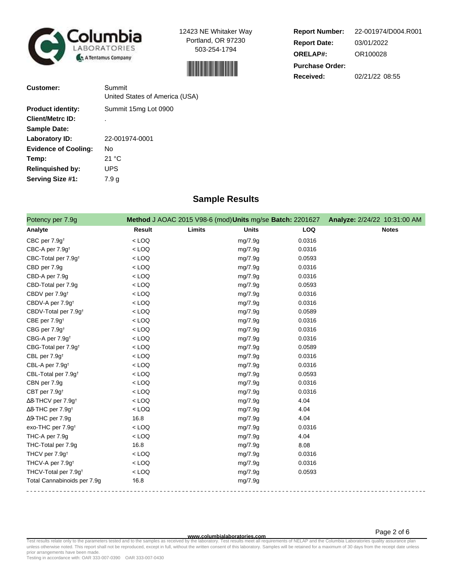



**Report Number: Report Date: ORELAP#:** 03/01/2022 OR100028 **Received:** 02/21/22 08:55 **Purchase Order:** 22-001974/D004.R001

| <b>Customer:</b>            | Summit<br>United States of America (USA) |
|-----------------------------|------------------------------------------|
|                             |                                          |
| <b>Product identity:</b>    | Summit 15mg Lot 0900                     |
| <b>Client/Metrc ID:</b>     | ٠                                        |
| <b>Sample Date:</b>         |                                          |
| Laboratory ID:              | 22-001974-0001                           |
| <b>Evidence of Cooling:</b> | Nο                                       |
| Temp:                       | 21 °C                                    |
| <b>Relinguished by:</b>     | <b>UPS</b>                               |
| <b>Serving Size #1:</b>     | 7.9 a                                    |

## **Sample Results**

| Potency per 7.9g                      |               | Method J AOAC 2015 V98-6 (mod) Units mg/se Batch: 2201627 |            | Analyze: 2/24/22 10:31:00 AM |
|---------------------------------------|---------------|-----------------------------------------------------------|------------|------------------------------|
| Analyte                               | <b>Result</b> | Limits<br><b>Units</b>                                    | <b>LOQ</b> | <b>Notes</b>                 |
| CBC per 7.9g <sup>t</sup>             | $<$ LOQ       | mg/7.9g                                                   | 0.0316     |                              |
| CBC-A per 7.9g <sup>t</sup>           | $<$ LOQ       | mg/7.9g                                                   | 0.0316     |                              |
| CBC-Total per 7.9g <sup>t</sup>       | $<$ LOQ       | mg/7.9g                                                   | 0.0593     |                              |
| CBD per 7.9g                          | $<$ LOQ       | mg/7.9g                                                   | 0.0316     |                              |
| CBD-A per 7.9g                        | $<$ LOQ       | mg/7.9g                                                   | 0.0316     |                              |
| CBD-Total per 7.9g                    | $<$ LOQ       | mg/7.9g                                                   | 0.0593     |                              |
| CBDV per 7.9g <sup>+</sup>            | $<$ LOQ       | mg/7.9g                                                   | 0.0316     |                              |
| CBDV-A per 7.9g <sup>+</sup>          | $<$ LOQ       | mg/7.9g                                                   | 0.0316     |                              |
| CBDV-Total per 7.9g <sup>+</sup>      | $<$ LOQ       | mg/7.9g                                                   | 0.0589     |                              |
| CBE per 7.9g <sup>+</sup>             | $<$ LOQ       | mg/7.9g                                                   | 0.0316     |                              |
| CBG per 7.9g <sup>t</sup>             | $<$ LOQ       | mg/7.9g                                                   | 0.0316     |                              |
| CBG-A per 7.9g <sup>t</sup>           | $<$ LOQ       | mg/7.9g                                                   | 0.0316     |                              |
| CBG-Total per 7.9g <sup>+</sup>       | $<$ LOQ       | mg/7.9g                                                   | 0.0589     |                              |
| CBL per 7.9g <sup>t</sup>             | $<$ LOQ       | mg/7.9g                                                   | 0.0316     |                              |
| CBL-A per 7.9g <sup>t</sup>           | $<$ LOQ       | mg/7.9g                                                   | 0.0316     |                              |
| CBL-Total per 7.9g <sup>+</sup>       | $<$ LOQ       | mg/7.9g                                                   | 0.0593     |                              |
| CBN per 7.9g                          | $<$ LOQ       | mg/7.9g                                                   | 0.0316     |                              |
| CBT per 7.9g <sup>+</sup>             | $<$ LOQ       | mg/7.9g                                                   | 0.0316     |                              |
| $\Delta$ 8-THCV per 7.9g <sup>+</sup> | $<$ LOQ       | mg/7.9g                                                   | 4.04       |                              |
| ∆8-THC per 7.9g <sup>+</sup>          | $<$ LOQ       | mg/7.9g                                                   | 4.04       |                              |
| $\Delta$ 9-THC per 7.9g               | 16.8          | mg/7.9g                                                   | 4.04       |                              |
| exo-THC per 7.9g <sup>+</sup>         | $<$ LOQ       | mg/7.9g                                                   | 0.0316     |                              |
| THC-A per 7.9g                        | $<$ LOQ       | mg/7.9g                                                   | 4.04       |                              |
| THC-Total per 7.9g                    | 16.8          | mg/7.9g                                                   | 8.08       |                              |
| THCV per 7.9g <sup>t</sup>            | $<$ LOQ       | mg/7.9g                                                   | 0.0316     |                              |
| THCV-A per 7.9g <sup>+</sup>          | $<$ LOQ       | mg/7.9g                                                   | 0.0316     |                              |
| THCV-Total per 7.9g <sup>+</sup>      | $<$ LOQ       | mg/7.9g                                                   | 0.0593     |                              |
| Total Cannabinoids per 7.9g           | 16.8          | mg/7.9g                                                   |            |                              |

#### **www.columbialaboratories.com**

Page 2 of 6

Test results relate only to the parameters tested and to the samples as received by the laboratory. Test results meet all requirements of NELAP and the Columbia Laboratories quality assurance plan<br>unless otherwise noted. T prior arrangements have been made.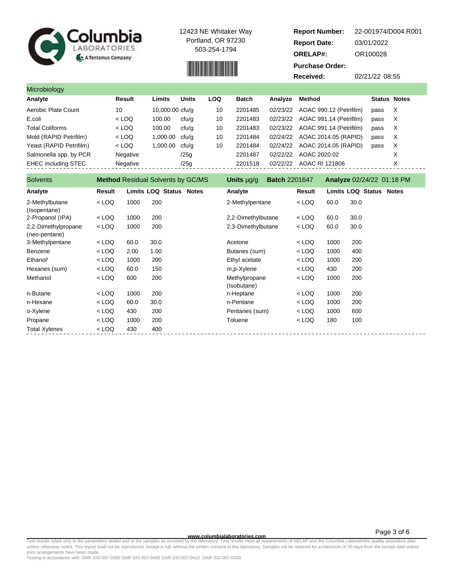

## 

| <b>Report Number:</b>  | 22-001974/D004.R001 |
|------------------------|---------------------|
|                        |                     |
| <b>Report Date:</b>    | 03/01/2022          |
| <b>ORELAP#:</b>        | OR100028            |
| <b>Purchase Order:</b> |                     |
| Received:              | 02/21/22 08:55      |

| Microbiology               |                                          |                 |              |            |                   |                      |                                  |                     |          |
|----------------------------|------------------------------------------|-----------------|--------------|------------|-------------------|----------------------|----------------------------------|---------------------|----------|
| Analyte                    | <b>Result</b>                            | Limits          | <b>Units</b> | <b>LOQ</b> | <b>Batch</b>      | Analyze              | Method                           | <b>Status Notes</b> |          |
| Aerobic Plate Count        | 10                                       | 10,000.00 cfu/g |              | 10         | 2201485           | 02/23/22             | AOAC 990.12 (Petrifilm)          | pass                | Х        |
| E.coli                     | $<$ LOQ                                  | 100.00          | cfu/q        | 10         | 2201483           | 02/23/22             | AOAC 991.14 (Petrifilm)          | pass                | $\times$ |
| <b>Total Coliforms</b>     | $<$ LOQ                                  | 100.00          | cfu/q        | 10         | 2201483           | 02/23/22             | AOAC 991.14 (Petrifilm)          | pass                | X        |
| Mold (RAPID Petrifilm)     | $<$ LOQ                                  | 1,000.00        | cfu/a        | 10         | 2201484           | 02/24/22             | AOAC 2014.05 (RAPID)             | pass                | X        |
| Yeast (RAPID Petrifilm)    | $<$ LOQ                                  | 1,000.00        | cfu/a        | 10         | 2201484           | 02/24/22             | AOAC 2014.05 (RAPID)             | pass                | Х        |
| Salmonella spp. by PCR     | Negative                                 |                 | /25a         |            | 2201487           | 02/22/22             | AOAC 2020.02                     |                     | X        |
| <b>EHEC including STEC</b> | Negative                                 |                 | /25g         |            | 2201518           | 02/22/22             | AOAC RI 121806                   |                     | X        |
| <b>Solvents</b>            | <b>Method</b> Residual Solvents by GC/MS |                 |              |            | <b>Units</b> µg/g | <b>Batch 2201647</b> | <b>Analyze 02/24/22 01:18 PM</b> |                     |          |

| טוויסוווט                            |         |      | <b>INCHIOU</b> INCSIGURE CONVETITS DV GO/INIO | <b>UIIIII</b> µy/y<br><b>DAIVILLE AND THE STATE</b> |         |      | <b>AIRIVEC</b> UZIZTIZZ UT.10 FIVE |
|--------------------------------------|---------|------|-----------------------------------------------|-----------------------------------------------------|---------|------|------------------------------------|
| Analyte                              | Result  |      | <b>Limits LOQ Status Notes</b>                | Analyte                                             | Result  |      | <b>Limits LOQ Status Notes</b>     |
| 2-Methylbutane<br>(Isopentane)       | $<$ LOQ | 1000 | 200                                           | 2-Methylpentane                                     | $<$ LOQ | 60.0 | 30.0                               |
| 2-Propanol (IPA)                     | $<$ LOQ | 1000 | 200                                           | 2,2-Dimethylbutane                                  | $<$ LOQ | 60.0 | 30.0                               |
| 2,2-Dimethylpropane<br>(neo-pentane) | $<$ LOQ | 1000 | 200                                           | 2,3-Dimethylbutane                                  | $<$ LOQ | 60.0 | 30.0                               |
| 3-Methylpentane                      | < LOQ   | 60.0 | 30.0                                          | Acetone                                             | $<$ LOQ | 1000 | 200                                |
| Benzene                              | $<$ LOQ | 2.00 | 1.00                                          | Butanes (sum)                                       | $<$ LOQ | 1000 | 400                                |
| Ethanol <sup>t</sup>                 | $<$ LOQ | 1000 | 200                                           | Ethyl acetate                                       | $<$ LOQ | 1000 | 200                                |
| Hexanes (sum)                        | $<$ LOQ | 60.0 | 150                                           | m,p-Xylene                                          | $<$ LOQ | 430  | 200                                |
| Methanol                             | $<$ LOQ | 600  | 200                                           | Methylpropane<br>(Isobutane)                        | $<$ LOQ | 1000 | 200                                |
| n-Butane                             | $<$ LOQ | 1000 | 200                                           | n-Heptane                                           | $<$ LOQ | 1000 | 200                                |
| n-Hexane                             | $<$ LOQ | 60.0 | 30.0                                          | n-Pentane                                           | $<$ LOQ | 1000 | 200                                |
| o-Xylene                             | $<$ LOQ | 430  | 200                                           | Pentanes (sum)                                      | $<$ LOQ | 1000 | 600                                |
| Propane                              | $<$ LOQ | 1000 | 200                                           | Toluene                                             | $<$ LOQ | 180  | 100                                |
| <b>Total Xylenes</b>                 | $<$ LOQ | 430  | 400                                           |                                                     |         |      |                                    |
|                                      |         |      |                                               |                                                     |         |      |                                    |

**WWW.columbialaboratories.com**<br>unless otherwise noted. This report shall not be reproduced, except in full, without the written consent of this laboratory. Test results meet all requirements of NELAP and the Columbia Labor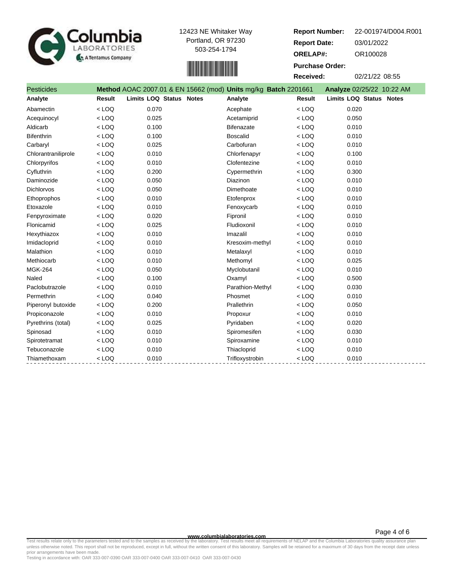



**Report Number: Report Date: ORELAP#:** 03/01/2022 OR100028 **Received:** 02/21/22 08:55 **Purchase Order:** 22-001974/D004.R001

| <b>Pesticides</b>   |               | Method AOAC 2007.01 & EN 15662 (mod) Units mg/kg Batch 2201661 |                   |               | Analyze 02/25/22 10:22 AM      |  |
|---------------------|---------------|----------------------------------------------------------------|-------------------|---------------|--------------------------------|--|
| Analyte             | <b>Result</b> | <b>Limits LOQ Status Notes</b>                                 | Analyte           | <b>Result</b> | <b>Limits LOQ Status Notes</b> |  |
| Abamectin           | $<$ LOQ       | 0.070                                                          | Acephate          | $<$ LOO       | 0.020                          |  |
| Acequinocyl         | $<$ LOQ       | 0.025                                                          | Acetamiprid       | $<$ LOQ       | 0.050                          |  |
| Aldicarb            | $<$ LOQ       | 0.100                                                          | <b>Bifenazate</b> | $<$ LOQ       | 0.010                          |  |
| Bifenthrin          | $<$ LOQ       | 0.100                                                          | <b>Boscalid</b>   | $<$ LOQ       | 0.010                          |  |
| Carbaryl            | $<$ LOQ       | 0.025                                                          | Carbofuran        | $<$ LOQ       | 0.010                          |  |
| Chlorantraniliprole | $<$ LOQ       | 0.010                                                          | Chlorfenapyr      | $<$ LOQ       | 0.100                          |  |
| Chlorpyrifos        | $<$ LOQ       | 0.010                                                          | Clofentezine      | $<$ LOQ       | 0.010                          |  |
| Cyfluthrin          | $<$ LOQ       | 0.200                                                          | Cypermethrin      | $<$ LOQ       | 0.300                          |  |
| Daminozide          | $<$ LOQ       | 0.050                                                          | Diazinon          | $<$ LOQ       | 0.010                          |  |
| <b>Dichlorvos</b>   | $<$ LOQ       | 0.050                                                          | Dimethoate        | $<$ LOQ       | 0.010                          |  |
| Ethoprophos         | $<$ LOQ       | 0.010                                                          | Etofenprox        | $<$ LOQ       | 0.010                          |  |
| Etoxazole           | $<$ LOQ       | 0.010                                                          | Fenoxycarb        | $<$ LOQ       | 0.010                          |  |
| Fenpyroximate       | $<$ LOQ       | 0.020                                                          | Fipronil          | $<$ LOQ       | 0.010                          |  |
| Flonicamid          | $<$ LOQ       | 0.025                                                          | Fludioxonil       | $<$ LOQ       | 0.010                          |  |
| Hexythiazox         | $<$ LOQ       | 0.010                                                          | Imazalil          | $<$ LOQ       | 0.010                          |  |
| Imidacloprid        | $<$ LOQ       | 0.010                                                          | Kresoxim-methyl   | $<$ LOQ       | 0.010                          |  |
| Malathion           | $<$ LOQ       | 0.010                                                          | Metalaxyl         | $<$ LOQ       | 0.010                          |  |
| Methiocarb          | $<$ LOQ       | 0.010                                                          | Methomyl          | $<$ LOQ       | 0.025                          |  |
| <b>MGK-264</b>      | $<$ LOQ       | 0.050                                                          | Myclobutanil      | $<$ LOQ       | 0.010                          |  |
| Naled               | $<$ LOQ       | 0.100                                                          | Oxamyl            | $<$ LOQ       | 0.500                          |  |
| Paclobutrazole      | $<$ LOQ       | 0.010                                                          | Parathion-Methyl  | $<$ LOQ       | 0.030                          |  |
| Permethrin          | $<$ LOQ       | 0.040                                                          | Phosmet           | $<$ LOQ       | 0.010                          |  |
| Piperonyl butoxide  | $<$ LOQ       | 0.200                                                          | Prallethrin       | $<$ LOQ       | 0.050                          |  |
| Propiconazole       | $<$ LOQ       | 0.010                                                          | Propoxur          | $<$ LOQ       | 0.010                          |  |
| Pyrethrins (total)  | $<$ LOQ       | 0.025                                                          | Pyridaben         | $<$ LOQ       | 0.020                          |  |
| Spinosad            | $<$ LOQ       | 0.010                                                          | Spiromesifen      | $<$ LOQ       | 0.030                          |  |
| Spirotetramat       | $<$ LOQ       | 0.010                                                          | Spiroxamine       | $<$ LOQ       | 0.010                          |  |
| Tebuconazole        | $<$ LOQ       | 0.010                                                          | Thiacloprid       | $<$ LOQ       | 0.010                          |  |
| Thiamethoxam        | $<$ LOQ       | 0.010                                                          | Trifloxystrobin   | $<$ LOQ       | 0.010                          |  |

**www.columbialaboratories.com**

Test results relate only to the parameters tested and to the samples as received by the laboratory. Test results meet all requirements of NELAP and the Columbia Laboratories quality assurance plan<br>unless otherwise noted. T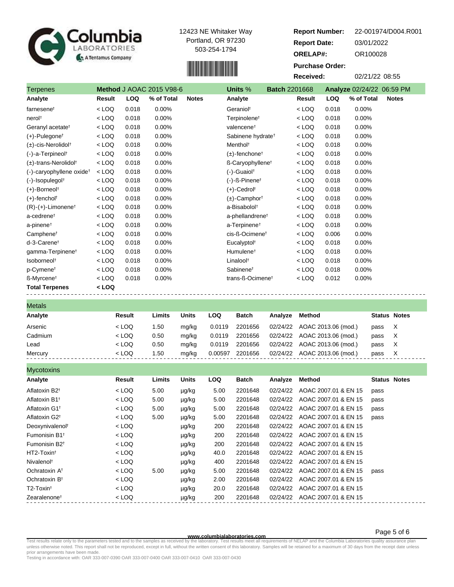

# 

| Columbia<br>LABORATORIES<br>A Tentamus Company |         |            |                                 | 12423 NE Whitaker Way<br>Portland, OR 97230<br>503-254-1794 | <b>Report Number:</b><br><b>Report Date:</b><br><b>ORELAP#:</b><br><b>Purchase Order:</b><br><b>Received:</b> |                      |         |            | 22-001974/D004.R001<br>03/01/2022<br>OR100028<br>02/21/22 08:55 |              |
|------------------------------------------------|---------|------------|---------------------------------|-------------------------------------------------------------|---------------------------------------------------------------------------------------------------------------|----------------------|---------|------------|-----------------------------------------------------------------|--------------|
| <b>Terpenes</b>                                |         |            | <b>Method J AOAC 2015 V98-6</b> |                                                             | Units %                                                                                                       | <b>Batch 2201668</b> |         |            | Analyze 02/24/22 06:59 PM                                       |              |
| Analyte                                        | Result  | <b>LOQ</b> | % of Total                      | <b>Notes</b>                                                | Analyte                                                                                                       |                      | Result  | <b>LOQ</b> | % of Total                                                      | <b>Notes</b> |
| farnesene <sup>t</sup>                         | $<$ LOQ | 0.018      | $0.00\%$                        |                                                             | Geraniol <sup>t</sup>                                                                                         |                      | $<$ LOQ | 0.018      | $0.00\%$                                                        |              |
| nerol†                                         | $<$ LOQ | 0.018      | $0.00\%$                        |                                                             | Terpinolene <sup>+</sup>                                                                                      |                      | $<$ LOQ | 0.018      | $0.00\%$                                                        |              |
| Geranyl acetate <sup>†</sup>                   | $<$ LOQ | 0.018      | $0.00\%$                        |                                                             | valencene <sup>t</sup>                                                                                        |                      | $<$ LOQ | 0.018      | $0.00\%$                                                        |              |
| (+)-Pulegone <sup>†</sup>                      | $<$ LOQ | 0.018      | $0.00\%$                        |                                                             | Sabinene hydrate <sup>+</sup>                                                                                 |                      | $<$ LOQ | 0.018      | $0.00\%$                                                        |              |

| farnesenet                              | $<$ LOQ | 0.018 | 0.00% | Geraniol <sup>+</sup>          | < LOQ   | 0.018 | 0.00% |  |
|-----------------------------------------|---------|-------|-------|--------------------------------|---------|-------|-------|--|
| nerol <sup>t</sup>                      | $<$ LOQ | 0.018 | 0.00% | Terpinolene <sup>t</sup>       | $<$ LOQ | 0.018 | 0.00% |  |
| Geranyl acetate <sup>t</sup>            | $<$ LOQ | 0.018 | 0.00% | valencene <sup>t</sup>         | $<$ LOQ | 0.018 | 0.00% |  |
| $(+)$ -Pulegone <sup>†</sup>            | $<$ LOQ | 0.018 | 0.00% | Sabinene hydrate <sup>†</sup>  | $<$ LOQ | 0.018 | 0.00% |  |
| (±)-cis-Nerolidol <sup>+</sup>          | $<$ LOQ | 0.018 | 0.00% | Menthol <sup>t</sup>           | $<$ LOQ | 0.018 | 0.00% |  |
| (-)-a-Terpineol <sup>†</sup>            | $<$ LOQ | 0.018 | 0.00% | $(\pm)$ -fenchone <sup>†</sup> | $<$ LOQ | 0.018 | 0.00% |  |
| $(\pm)$ -trans-Nerolidol <sup>†</sup>   | $<$ LOQ | 0.018 | 0.00% | ß-Caryophyllene <sup>†</sup>   | $<$ LOQ | 0.018 | 0.00% |  |
| $(-)$ -caryophyllene oxide <sup>†</sup> | $<$ LOQ | 0.018 | 0.00% | (-)-Guaiol <sup>†</sup>        | $<$ LOQ | 0.018 | 0.00% |  |
| $(-)$ -Isopulegol <sup>†</sup>          | $<$ LOQ | 0.018 | 0.00% | $(-)$ -ß-Pinenet               | $<$ LOQ | 0.018 | 0.00% |  |
| (+)-Borneol <sup>†</sup>                | $<$ LOQ | 0.018 | 0.00% | (+)-Cedrol <sup>†</sup>        | $<$ LOQ | 0.018 | 0.00% |  |
| (+)-fencholt                            | $<$ LOQ | 0.018 | 0.00% | $(\pm)$ -Camphor <sup>†</sup>  | $<$ LOQ | 0.018 | 0.00% |  |
| $(R)-(+)$ -Limonene <sup>†</sup>        | $<$ LOQ | 0.018 | 0.00% | a-Bisabolol <sup>+</sup>       | $<$ LOQ | 0.018 | 0.00% |  |
| a-cedrene <sup>t</sup>                  | $<$ LOQ | 0.018 | 0.00% | a-phellandrene <sup>t</sup>    | $<$ LOQ | 0.018 | 0.00% |  |
| a-pinene <sup>t</sup>                   | $<$ LOQ | 0.018 | 0.00% | a-Terpinene <sup>t</sup>       | $<$ LOQ | 0.018 | 0.00% |  |
| Camphene <sup>t</sup>                   | $<$ LOQ | 0.018 | 0.00% | cis-ß-Ocimene <sup>t</sup>     | $<$ LOQ | 0.006 | 0.00% |  |
| d-3-Carenet                             | $<$ LOQ | 0.018 | 0.00% | Eucalyptol <sup>t</sup>        | $<$ LOQ | 0.018 | 0.00% |  |
| gamma-Terpinene <sup>t</sup>            | $<$ LOQ | 0.018 | 0.00% | Humulene <sup>t</sup>          | $<$ LOQ | 0.018 | 0.00% |  |
| Isoborneol <sup>t</sup>                 | $<$ LOQ | 0.018 | 0.00% | Linalool <sup>t</sup>          | $<$ LOQ | 0.018 | 0.00% |  |
| p-Cymene <sup>t</sup>                   | $<$ LOQ | 0.018 | 0.00% | Sabinene <sup>t</sup>          | $<$ LOQ | 0.018 | 0.00% |  |
| ß-Myrcene <sup>↑</sup>                  | $<$ LOQ | 0.018 | 0.00% | trans-ß-Ocimene <sup>t</sup>   | $<$ LOQ | 0.012 | 0.00% |  |
| <b>Total Terpenes</b>                   | $<$ LOQ |       |       |                                |         |       |       |  |

| <b>Metals</b> |         |        |              |         |              |         |                              |                     |   |
|---------------|---------|--------|--------------|---------|--------------|---------|------------------------------|---------------------|---|
| Analyte       | Result  | Limits | <b>Units</b> | LOQ     | <b>Batch</b> | Analvze | Method                       | <b>Status Notes</b> |   |
| Arsenic       | $<$ LOQ | 1.50   | mg/kg        | 0.0119  | 2201656      |         | 02/24/22 AOAC 2013.06 (mod.) | pass                | X |
| Cadmium       | $<$ LOQ | 0.50   | ma/ka        | 0.0119  | 2201656      |         | 02/24/22 AOAC 2013.06 (mod.) | pass                | X |
| Lead          | $<$ LOQ | 0.50   | ma/ka        | 0.0119  | 2201656      |         | 02/24/22 AOAC 2013.06 (mod.) | pass                | X |
| Mercury       | $<$ LOQ | 1.50   | mg/kg        | 0.00597 | 2201656      |         | 02/24/22 AOAC 2013.06 (mod.) | pass                | X |

| <b>Mycotoxins</b>                     |         |        |              |            |              |          |                      |                     |
|---------------------------------------|---------|--------|--------------|------------|--------------|----------|----------------------|---------------------|
| Analyte                               | Result  | Limits | <b>Units</b> | <b>LOQ</b> | <b>Batch</b> | Analyze  | Method               | <b>Status Notes</b> |
| Aflatoxin B <sub>2</sub> <sup>t</sup> | $<$ LOQ | 5.00   | µg/kg        | 5.00       | 2201648      | 02/24/22 | AOAC 2007.01 & EN 15 | pass                |
| Aflatoxin B1 <sup>t</sup>             | < LOQ   | 5.00   | µg/kg        | 5.00       | 2201648      | 02/24/22 | AOAC 2007.01 & EN 15 | pass                |
| Aflatoxin G1 <sup>t</sup>             | $<$ LOQ | 5.00   | µg/kg        | 5.00       | 2201648      | 02/24/22 | AOAC 2007.01 & EN 15 | pass                |
| Aflatoxin G2 <sup>+</sup>             | < LOQ   | 5.00   | µg/kg        | 5.00       | 2201648      | 02/24/22 | AOAC 2007.01 & EN 15 | pass                |
| Deoxynivalenol <sup>t</sup>           | $<$ LOQ |        | µg/kg        | 200        | 2201648      | 02/24/22 | AOAC 2007.01 & EN 15 |                     |
| Fumonisin B1 <sup>+</sup>             | $<$ LOQ |        | µg/kg        | 200        | 2201648      | 02/24/22 | AOAC 2007.01 & EN 15 |                     |
| Fumonisin B <sub>2<sup>t</sup></sub>  | $<$ LOQ |        | µg/kg        | 200        | 2201648      | 02/24/22 | AOAC 2007.01 & EN 15 |                     |
| HT2-Toxint                            | $<$ LOQ |        | µg/kg        | 40.0       | 2201648      | 02/24/22 | AOAC 2007.01 & EN 15 |                     |
| Nivalenol <sup>t</sup>                | $<$ LOQ |        | µg/kg        | 400        | 2201648      | 02/24/22 | AOAC 2007.01 & EN 15 |                     |
| Ochratoxin A <sup>t</sup>             | $<$ LOQ | 5.00   | µg/kg        | 5.00       | 2201648      | 02/24/22 | AOAC 2007.01 & EN 15 | pass                |
| Ochratoxin B <sup>+</sup>             | $<$ LOQ |        | µg/kg        | 2.00       | 2201648      | 02/24/22 | AOAC 2007.01 & EN 15 |                     |
| T2-Toxint                             | $<$ LOQ |        | µg/kg        | 20.0       | 2201648      | 02/24/22 | AOAC 2007.01 & EN 15 |                     |
| Zearalenone <sup>t</sup>              | $<$ LOQ |        | µg/kg        | 200        | 2201648      | 02/24/22 | AOAC 2007.01 & EN 15 |                     |

Page 5 of 6

Test results relate only to the parameters tested and to the samples as received by the laboratory. Test results meet all requirements of NELAP and the Columbia Laboratories quality assurance plan<br>unless otherwise noted. T